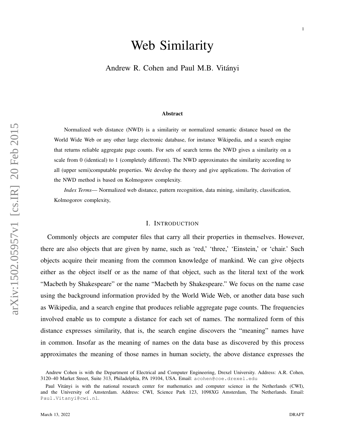# Web Similarity

Andrew R. Cohen and Paul M.B. Vitányi

#### Abstract

Normalized web distance (NWD) is a similarity or normalized semantic distance based on the World Wide Web or any other large electronic database, for instance Wikipedia, and a search engine that returns reliable aggregate page counts. For sets of search terms the NWD gives a similarity on a scale from 0 (identical) to 1 (completely different). The NWD approximates the similarity according to all (upper semi)computable properties. We develop the theory and give applications. The derivation of the NWD method is based on Kolmogorov complexity.

*Index Terms*— Normalized web distance, pattern recognition, data mining, similarity, classification, Kolmogorov complexity,

# I. INTRODUCTION

Commonly objects are computer files that carry all their properties in themselves. However, there are also objects that are given by name, such as 'red,' 'three,' 'Einstein,' or 'chair.' Such objects acquire their meaning from the common knowledge of mankind. We can give objects either as the object itself or as the name of that object, such as the literal text of the work "Macbeth by Shakespeare" or the name "Macbeth by Shakespeare." We focus on the name case using the background information provided by the World Wide Web, or another data base such as Wikipedia, and a search engine that produces reliable aggregate page counts. The frequencies involved enable us to compute a distance for each set of names. The normalized form of this distance expresses similarity, that is, the search engine discovers the "meaning" names have in common. Insofar as the meaning of names on the data base as discovered by this process approximates the meaning of those names in human society, the above distance expresses the

Andrew Cohen is with the Department of Electrical and Computer Engineering, Drexel University. Address: A.R. Cohen, 3120–40 Market Street, Suite 313, Philadelphia, PA 19104, USA. Email: acohen@coe.drexel.edu

Paul Vitányi is with the national research center for mathematics and computer science in the Netherlands (CWI), and the University of Amsterdam. Address: CWI, Science Park 123, 1098XG Amsterdam, The Netherlands. Email: Paul.Vitanyi@cwi.nl.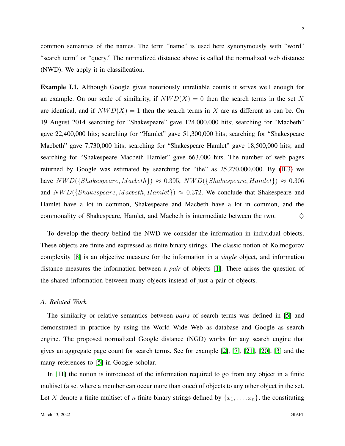common semantics of the names. The term "name" is used here synonymously with "word" "search term" or "query." The normalized distance above is called the normalized web distance (NWD). We apply it in classification.

<span id="page-1-0"></span>Example I.1. Although Google gives notoriously unreliable counts it serves well enough for an example. On our scale of similarity, if  $NWD(X) = 0$  then the search terms in the set X are identical, and if  $NWD(X) = 1$  then the search terms in X are as different as can be. On 19 August 2014 searching for "Shakespeare" gave 124,000,000 hits; searching for "Macbeth" gave 22,400,000 hits; searching for "Hamlet" gave 51,300,000 hits; searching for "Shakespeare Macbeth" gave 7,730,000 hits; searching for "Shakespeare Hamlet" gave 18,500,000 hits; and searching for "Shakespeare Macbeth Hamlet" gave 663,000 hits. The number of web pages returned by Google was estimated by searching for "the" as 25,270,000,000. By [\(II.3\)](#page-5-0) we have  $NWD(\{Shakespeace, Macketh\}) \approx 0.395, NWD(\{Shakespeace, Hamlet\}) \approx 0.306$ and  $NWD({Shakespeace, Macketh, Hamlet}) \approx 0.372$ . We conclude that Shakespeare and Hamlet have a lot in common, Shakespeare and Macbeth have a lot in common, and the commonality of Shakespeare, Hamlet, and Macbeth is intermediate between the two.  $\Diamond$ 

To develop the theory behind the NWD we consider the information in individual objects. These objects are finite and expressed as finite binary strings. The classic notion of Kolmogorov complexity [\[8\]](#page-23-0) is an objective measure for the information in a *single* object, and information distance measures the information between a *pair* of objects [\[1\]](#page-22-0). There arises the question of the shared information between many objects instead of just a pair of objects.

# *A. Related Work*

The similarity or relative semantics between *pairs* of search terms was defined in [\[5\]](#page-22-1) and demonstrated in practice by using the World Wide Web as database and Google as search engine. The proposed normalized Google distance (NGD) works for any search engine that gives an aggregate page count for search terms. See for example [\[2\]](#page-22-2), [\[7\]](#page-23-1), [\[21\]](#page-23-2), [\[20\]](#page-23-3), [\[3\]](#page-22-3) and the many references to [\[5\]](#page-22-1) in Google scholar.

In [\[11\]](#page-23-4) the notion is introduced of the information required to go from any object in a finite multiset (a set where a member can occur more than once) of objects to any other object in the set. Let X denote a finite multiset of n finite binary strings defined by  $\{x_1, \ldots, x_n\}$ , the constituting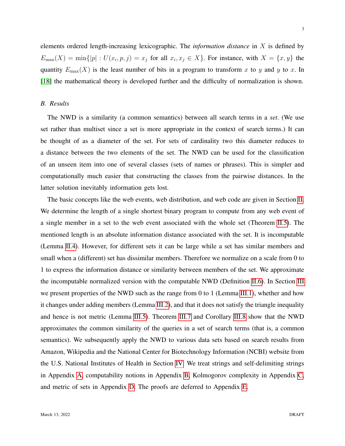elements ordered length-increasing lexicographic. The *information distance* in X is defined by  $E_{\max}(X) = \min\{|p| : U(x_i, p, j) = x_j \text{ for all } x_i, x_j \in X\}.$  For instance, with  $X = \{x, y\}$  the quantity  $E_{\text{max}}(X)$  is the least number of bits in a program to transform x to y and y to x. In [\[18\]](#page-23-5) the mathematical theory is developed further and the difficulty of normalization is shown.

## *B. Results*

The NWD is a similarity (a common semantics) between all search terms in a *set*. (We use set rather than multiset since a set is more appropriate in the context of search terms.) It can be thought of as a diameter of the set. For sets of cardinality two this diameter reduces to a distance between the two elements of the set. The NWD can be used for the classification of an unseen item into one of several classes (sets of names or phrases). This is simpler and computationally much easier that constructing the classes from the pairwise distances. In the latter solution inevitably information gets lost.

The basic concepts like the web events, web distribution, and web code are given in Section [II.](#page-3-0) We determine the length of a single shortest binary program to compute from any web event of a single member in a set to the web event associated with the whole set (Theorem [II.5\)](#page-4-0). The mentioned length is an absolute information distance associated with the set. It is incomputable (Lemma [II.4\)](#page-4-1). However, for different sets it can be large while a set has similar members and small when a (different) set has dissimilar members. Therefore we normalize on a scale from 0 to 1 to express the information distance or similarity between members of the set. We approximate the incomputable normalized version with the computable NWD (Definition [II.6\)](#page-5-1). In Section [III](#page-6-0) we present properties of the NWD such as the range from 0 to 1 (Lemma [III.1\)](#page-6-1), whether and how it changes under adding members (Lemma [III.2\)](#page-7-0), and that it does not satisfy the triangle inequality and hence is not metric (Lemma [III.5\)](#page-8-0). Theorem [III.7](#page-9-0) and Corollary [III.8](#page-9-1) show that the NWD approximates the common similarity of the queries in a set of search terms (that is, a common semantics). We subsequently apply the NWD to various data sets based on search results from Amazon, Wikipedia and the National Center for Biotechnology Information (NCBI) website from the U.S. National Institutes of Health in Section [IV.](#page-9-2) We treat strings and self-delimiting strings in Appendix [A,](#page-16-0) computability notions in Appendix [B,](#page-17-0) Kolmogorov complexity in Appendix [C,](#page-17-1) and metric of sets in Appendix [D.](#page-18-0) The proofs are deferred to Appendix [E.](#page-18-1)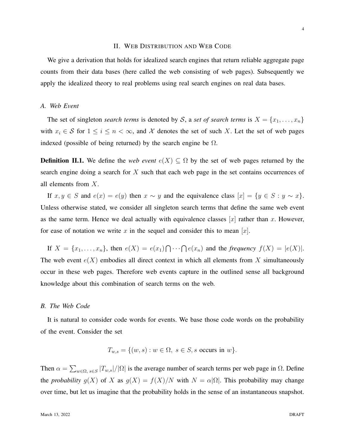#### II. WEB DISTRIBUTION AND WEB CODE

<span id="page-3-0"></span>We give a derivation that holds for idealized search engines that return reliable aggregate page counts from their data bases (here called the web consisting of web pages). Subsequently we apply the idealized theory to real problems using real search engines on real data bases.

# *A. Web Event*

The set of singleton *search terms* is denoted by S, a *set of search terms* is  $X = \{x_1, \ldots, x_n\}$ with  $x_i \in S$  for  $1 \le i \le n < \infty$ , and X denotes the set of such X. Let the set of web pages indexed (possible of being returned) by the search engine be  $\Omega$ .

<span id="page-3-1"></span>**Definition II.1.** We define the *web event*  $e(X) \subseteq \Omega$  by the set of web pages returned by the search engine doing a search for  $X$  such that each web page in the set contains occurrences of all elements from X.

If  $x, y \in S$  and  $e(x) = e(y)$  then  $x \sim y$  and the equivalence class  $[x] = \{y \in S : y \sim x\}.$ Unless otherwise stated, we consider all singleton search terms that define the same web event as the same term. Hence we deal actually with equivalence classes  $[x]$  rather than x. However, for ease of notation we write x in the sequel and consider this to mean  $[x]$ .

If  $X = \{x_1, \ldots, x_n\}$ , then  $e(X) = e(x_1) \cap \cdots \cap e(x_n)$  and the *frequency*  $f(X) = |e(X)|$ . The web event  $e(X)$  embodies all direct context in which all elements from X simultaneously occur in these web pages. Therefore web events capture in the outlined sense all background knowledge about this combination of search terms on the web.

#### *B. The Web Code*

It is natural to consider code words for events. We base those code words on the probability of the event. Consider the set

$$
T_{w,s} = \{(w,s) : w \in \Omega, s \in S, s \text{ occurs in } w\}.
$$

Then  $\alpha = \sum_{w \in \Omega, s \in S} |T_{w,s}|/|\Omega|$  is the average number of search terms per web page in  $\Omega$ . Define the *probability*  $g(X)$  of X as  $g(X) = f(X)/N$  with  $N = \alpha |\Omega|$ . This probability may change over time, but let us imagine that the probability holds in the sense of an instantaneous snapshot.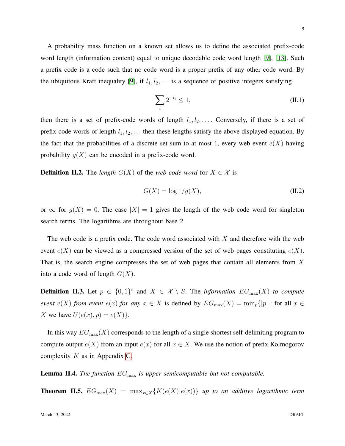A probability mass function on a known set allows us to define the associated prefix-code word length (information content) equal to unique decodable code word length [\[9\]](#page-23-6), [\[13\]](#page-23-7). Such a prefix code is a code such that no code word is a proper prefix of any other code word. By the ubiquitous Kraft inequality [\[9\]](#page-23-6), if  $l_1, l_2, \ldots$  is a sequence of positive integers satisfying

<span id="page-4-3"></span>
$$
\sum_{i} 2^{-l_i} \le 1,\tag{II.1}
$$

then there is a set of prefix-code words of length  $l_1, l_2, \ldots$ . Conversely, if there is a set of prefix-code words of length  $l_1, l_2, \ldots$  then these lengths satisfy the above displayed equation. By the fact that the probabilities of a discrete set sum to at most 1, every web event  $e(X)$  having probability  $g(X)$  can be encoded in a prefix-code word.

**Definition II.2.** The *length*  $G(X)$  of the *web code word* for  $X \in \mathcal{X}$  is

<span id="page-4-2"></span>
$$
G(X) = \log 1/g(X),\tag{II.2}
$$

or  $\infty$  for  $g(X) = 0$ . The case  $|X| = 1$  gives the length of the web code word for singleton search terms. The logarithms are throughout base 2.

The web code is a prefix code. The code word associated with  $X$  and therefore with the web event  $e(X)$  can be viewed as a compressed version of the set of web pages constituting  $e(X)$ . That is, the search engine compresses the set of web pages that contain all elements from  $X$ into a code word of length  $G(X)$ .

**Definition II.3.** Let  $p \in \{0,1\}^*$  and  $X \in \mathcal{X} \setminus S$ . The *information*  $EG_{\text{max}}(X)$  to compute *event*  $e(X)$  *from event*  $e(x)$  *for any*  $x \in X$  is defined by  $EG_{\text{max}}(X) = \min_p \{|p| : \text{for all } x \in X\}$ X we have  $U(e(x), p) = e(X)$ .

In this way  $EG_{\text{max}}(X)$  corresponds to the length of a single shortest self-delimiting program to compute output  $e(X)$  from an input  $e(x)$  for all  $x \in X$ . We use the notion of prefix Kolmogorov complexity  $K$  as in Appendix [C.](#page-17-1)

<span id="page-4-1"></span>Lemma II.4. *The function*  $EG<sub>max</sub>$  *is upper semicomputable but not computable.* 

<span id="page-4-0"></span>**Theorem II.5.**  $EG_{\text{max}}(X) = \max_{x \in X} \{ K(e(X)|e(x)) \}$  *up to an additive logarithmic term*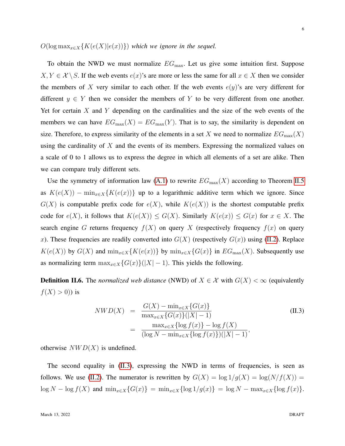$O(\log \max_{x \in X} \{ K(e(X)|e(x)) \})$  *which we ignore in the sequel.* 

To obtain the NWD we must normalize  $EG<sub>max</sub>$ . Let us give some intuition first. Suppose  $X, Y \in \mathcal{X} \backslash S$ . If the web events  $e(x)$ 's are more or less the same for all  $x \in X$  then we consider the members of X very similar to each other. If the web events  $e(y)$ 's are very different for different  $y \in Y$  then we consider the members of Y to be very different from one another. Yet for certain X and Y depending on the cardinalities and the size of the web events of the members we can have  $EG_{\text{max}}(X) = EG_{\text{max}}(Y)$ . That is to say, the similarity is dependent on size. Therefore, to express similarity of the elements in a set X we need to normalize  $EG_{\text{max}}(X)$ using the cardinality of  $X$  and the events of its members. Expressing the normalized values on a scale of 0 to 1 allows us to express the degree in which all elements of a set are alike. Then we can compare truly different sets.

Use the symmetry of information law [\(A.1\)](#page-18-2) to rewrite  $EG_{\text{max}}(X)$  according to Theorem [II.5](#page-4-0) as  $K(e(X)) - \min_{x \in X} \{ K(e(x)) \}$  up to a logarithmic additive term which we ignore. Since  $G(X)$  is computable prefix code for  $e(X)$ , while  $K(e(X))$  is the shortest computable prefix code for  $e(X)$ , it follows that  $K(e(X)) \leq G(X)$ . Similarly  $K(e(x)) \leq G(x)$  for  $x \in X$ . The search engine G returns frequency  $f(X)$  on query X (respectively frequency  $f(x)$  on query x). These frequencies are readily converted into  $G(X)$  (respectively  $G(x)$ ) using [\(II.2\)](#page-4-2). Replace  $K(e(X))$  by  $G(X)$  and  $\min_{x \in X} \{K(e(x))\}$  by  $\min_{x \in X} \{G(x)\}$  in  $EG_{\max}(X)$ . Subsequently use as normalizing term  $\max_{x \in X} \{G(x)\} (|X| - 1)$ . This yields the following.

<span id="page-5-1"></span>**Definition II.6.** The *normalized web distance* (NWD) of  $X \in \mathcal{X}$  with  $G(X) < \infty$  (equivalently  $f(X) > 0$ ) is

<span id="page-5-0"></span>
$$
NWD(X) = \frac{G(X) - \min_{x \in X} \{G(x)\}}{\max_{x \in X} \{G(x)\} (|X| - 1)}
$$
  
= 
$$
\frac{\max_{x \in X} \{ \log f(x) \} - \log f(X)}{(\log N - \min_{x \in X} \{ \log f(x) \}) (|X| - 1)},
$$
 (II.3)

otherwise  $NWD(X)$  is undefined.

The second equality in [\(II.3\)](#page-5-0), expressing the NWD in terms of frequencies, is seen as follows. We use [\(II.2\)](#page-4-2). The numerator is rewritten by  $G(X) = \log 1/g(X) = \log (N/f(X))$  =  $\log N - \log f(X)$  and  $\min_{x \in X} {\{G(x)\}} = \min_{x \in X} {\{\log 1/g(x)\}} = \log N - \max_{x \in X} {\{\log f(x)\}}.$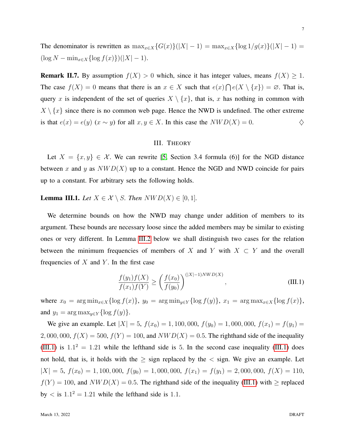The denominator is rewritten as  $\max_{x \in X} \{G(x)\}(|X| - 1) = \max_{x \in X} \{\log 1/g(x)\}(|X| - 1) =$  $(\log N - \min_{x \in X} {\log f(x)})(|X| - 1).$ 

**Remark II.7.** By assumption  $f(X) > 0$  which, since it has integer values, means  $f(X) \ge 1$ . The case  $f(X) = 0$  means that there is an  $x \in X$  such that  $e(x) \cap e(X \setminus \{x\}) = \emptyset$ . That is, query x is independent of the set of queries  $X \setminus \{x\}$ , that is, x has nothing in common with  $X \setminus \{x\}$  since there is no common web page. Hence the NWD is undefined. The other extreme is that  $e(x) = e(y)$   $(x \sim y)$  for all  $x, y \in X$ . In this case the  $NWD(X) = 0$ .

# III. THEORY

<span id="page-6-0"></span>Let  $X = \{x, y\} \in \mathcal{X}$ . We can rewrite [\[5,](#page-22-1) Section 3.4 formula (6)] for the NGD distance between x and y as  $NWD(X)$  up to a constant. Hence the NGD and NWD coincide for pairs up to a constant. For arbitrary sets the following holds.

<span id="page-6-1"></span>**Lemma III.1.** *Let*  $X \in \mathcal{X} \setminus S$ *. Then*  $NWD(X) \in [0,1]$ *.* 

We determine bounds on how the NWD may change under addition of members to its argument. These bounds are necessary loose since the added members may be similar to existing ones or very different. In Lemma [III.2](#page-7-0) below we shall distinguish two cases for the relation between the minimum frequencies of members of X and Y with  $X \subset Y$  and the overall frequencies of  $X$  and  $Y$ . In the first case

<span id="page-6-2"></span>
$$
\frac{f(y_1)f(X)}{f(x_1)f(Y)} \ge \left(\frac{f(x_0)}{f(y_0)}\right)^{(|X|-1)NWD(X)},
$$
\n(III.1)

where  $x_0 = \arg \min_{x \in X} {\log f(x)}$ ,  $y_0 = \arg \min_{y \in Y} {\log f(y)}$ ,  $x_1 = \arg \max_{x \in X} {\log f(x)}$ , and  $y_1 = \arg \max_{y \in Y} {\log f(y)}$ .

We give an example. Let  $|X| = 5$ ,  $f(x_0) = 1, 100, 000, f(y_0) = 1, 000, 000, f(x_1) = f(y_1) =$ 2, 000, 000,  $f(X) = 500$ ,  $f(Y) = 100$ , and  $NWD(X) = 0.5$ . The righthand side of the inequality [\(III.1\)](#page-6-2) is  $1.1^2 = 1.21$  while the lefthand side is 5. In the second case inequality (III.1) does not hold, that is, it holds with the  $\geq$  sign replaced by the  $\lt$  sign. We give an example. Let  $|X| = 5$ ,  $f(x_0) = 1,100,000$ ,  $f(y_0) = 1,000,000$ ,  $f(x_1) = f(y_1) = 2,000,000$ ,  $f(X) = 110$ ,  $f(Y) = 100$ , and  $NWD(X) = 0.5$ . The righthand side of the inequality [\(III.1\)](#page-6-2) with  $\geq$  replaced by  $\langle$  is  $1.1^2 = 1.21$  while the lefthand side is 1.1.

7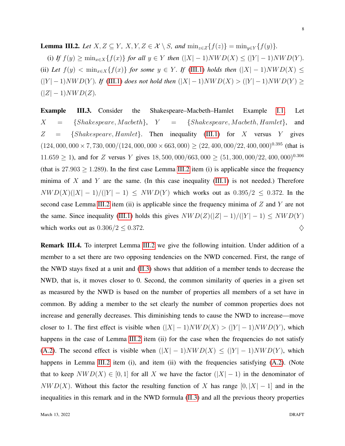<span id="page-7-0"></span>**Lemma III.2.** *Let*  $X, Z \subseteq Y$ *,*  $X, Y, Z \in \mathcal{X} \setminus S$ *, and*  $\min_{z \in Z} \{f(z)\} = \min_{y \in Y} \{f(y)\}.$ 

(i) *If*  $f(y) \ge \min_{x \in X} \{f(x)\}$  *for all*  $y \in Y$  *then*  $(|X| - 1)NWD(X) \le (|Y| - 1)NWD(Y)$ *.* (ii) Let  $f(y)$  <  $\min_{x \in X} \{f(x)\}$  for some  $y \in Y$ . If [\(III.1\)](#page-6-2) holds then  $(|X| - 1)NWD(X) \le$  $(|Y| - 1)NWD(Y)$ *. If* [\(III.1\)](#page-6-2) *does not hold then*  $(|X| - 1)NWD(X) > (|Y| - 1)NWD(Y) ≥$  $(|Z| - 1)NWD(Z)$ .

Example III.3. Consider the Shakespeare–Macbeth–Hamlet Example [I.1.](#page-1-0) Let  $X = \{Shakespeace, Macbeth\}, Y = \{Shakespeace, Macbeth\}, and$  $Z = \{Shakespeace, Hamlet\}.$  Then inequality [\(III.1\)](#page-6-2) for X versus Y gives  $(124, 000, 000 \times 7, 730, 000/(124, 000, 000 \times 663, 000) \ge (22, 400, 000/22, 400, 000)^{0.395}$  (that is 11.659 ≥ 1), and for Z versus Y gives 18, 500, 000/663, 000 ≥ (51, 300, 000/22, 400, 000)<sup>0.306</sup> (that is  $27.903 \ge 1.289$ ). In the first case Lemma [III.2](#page-7-0) item (i) is applicable since the frequency minima of X and Y are the same. (In this case inequality  $(III.1)$  is not needed.) Therefore  $NWD(X)(|X|-1)/(|Y|-1) \leq NWD(Y)$  which works out as 0.395/2  $\leq$  0.372. In the second case Lemma [III.2](#page-7-0) item (ii) is applicable since the frequency minima of  $Z$  and  $Y$  are not the same. Since inequality [\(III.1\)](#page-6-2) holds this gives  $NWD(Z)(|Z|-1)/(|Y|-1) \leq NWD(Y)$ which works out as  $0.306/2 \le 0.372$ .

Remark III.4. To interpret Lemma [III.2](#page-7-0) we give the following intuition. Under addition of a member to a set there are two opposing tendencies on the NWD concerned. First, the range of the NWD stays fixed at a unit and [\(II.3\)](#page-5-0) shows that addition of a member tends to decrease the NWD, that is, it moves closer to 0. Second, the common similarity of queries in a given set as measured by the NWD is based on the number of properties all members of a set have in common. By adding a member to the set clearly the number of common properties does not increase and generally decreases. This diminishing tends to cause the NWD to increase—move closer to 1. The first effect is visible when  $(|X| - 1)NWD(X) > (|Y| - 1)NWD(Y)$ , which happens in the case of Lemma [III.2](#page-7-0) item (ii) for the case when the frequencies do not satisfy [\(A.2\)](#page-21-0). The second effect is visible when  $(|X| - 1)NWD(X) \leq (|Y| - 1)NWD(Y)$ , which happens in Lemma [III.2](#page-7-0) item (i), and item (ii) with the frequencies satisfying [\(A.2\)](#page-21-0). (Note that to keep  $NWD(X) \in [0,1]$  for all X we have the factor  $(|X|-1)$  in the denominator of  $NWD(X)$ . Without this factor the resulting function of X has range  $[0, |X| - 1]$  and in the inequalities in this remark and in the NWD formula [\(II.3\)](#page-5-0) and all the previous theory properties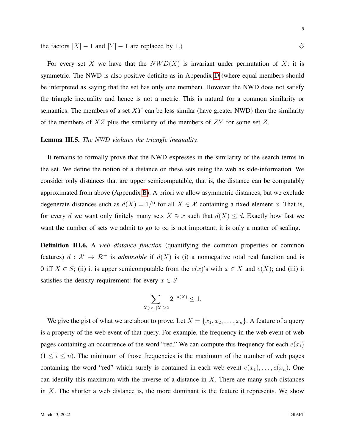the factors  $|X| - 1$  and  $|Y| - 1$  are replaced by 1.)  $\diamondsuit$ 

For every set X we have that the  $NWD(X)$  is invariant under permutation of X: it is symmetric. The NWD is also positive definite as in Appendix [D](#page-18-0) (where equal members should be interpreted as saying that the set has only one member). However the NWD does not satisfy the triangle inequality and hence is not a metric. This is natural for a common similarity or semantics: The members of a set  $XY$  can be less similar (have greater NWD) then the similarity of the members of  $XZ$  plus the similarity of the members of  $ZY$  for some set  $Z$ .

# <span id="page-8-0"></span>Lemma III.5. *The NWD violates the triangle inequality.*

It remains to formally prove that the NWD expresses in the similarity of the search terms in the set. We define the notion of a distance on these sets using the web as side-information. We consider only distances that are upper semicomputable, that is, the distance can be computably approximated from above (Appendix [B\)](#page-17-0). A priori we allow asymmetric distances, but we exclude degenerate distances such as  $d(X) = 1/2$  for all  $X \in \mathcal{X}$  containing a fixed element x. That is, for every d we want only finitely many sets  $X \ni x$  such that  $d(X) \leq d$ . Exactly how fast we want the number of sets we admit to go to  $\infty$  is not important; it is only a matter of scaling.

<span id="page-8-1"></span>**Definition III.6.** A *web distance function* (quantifying the common properties or common features)  $d : \mathcal{X} \to \mathcal{R}^+$  is *admissible* if  $d(X)$  is (i) a nonnegative total real function and is 0 iff  $X \in S$ ; (ii) it is upper semicomputable from the  $e(x)$ 's with  $x \in X$  and  $e(X)$ ; and (iii) it satisfies the density requirement: for every  $x \in S$ 

$$
\sum_{X \ni x, \ |X| \ge 2} 2^{-d(X)} \le 1.
$$

We give the gist of what we are about to prove. Let  $X = \{x_1, x_2, \ldots, x_n\}$ . A feature of a query is a property of the web event of that query. For example, the frequency in the web event of web pages containing an occurrence of the word "red." We can compute this frequency for each  $e(x_i)$  $(1 \le i \le n)$ . The minimum of those frequencies is the maximum of the number of web pages containing the word "red" which surely is contained in each web event  $e(x_1), \ldots, e(x_n)$ . One can identify this maximum with the inverse of a distance in  $X$ . There are many such distances in  $X$ . The shorter a web distance is, the more dominant is the feature it represents. We show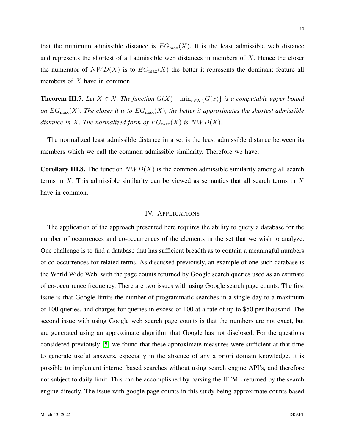that the minimum admissible distance is  $EG_{\text{max}}(X)$ . It is the least admissible web distance and represents the shortest of all admissible web distances in members of  $X$ . Hence the closer the numerator of  $NWD(X)$  is to  $EG<sub>max</sub>(X)$  the better it represents the dominant feature all members of X have in common.

<span id="page-9-0"></span>**Theorem III.7.** *Let*  $X \in \mathcal{X}$ *. The function*  $G(X) - \min_{x \in X} \{G(x)\}\$ is a computable upper bound *on*  $EG_{\text{max}}(X)$ *. The closer it is to*  $EG_{\text{max}}(X)$ *, the better it approximates the shortest admissible distance in* X. The normalized form of  $EG_{\text{max}}(X)$  is  $NWD(X)$ .

The normalized least admissible distance in a set is the least admissible distance between its members which we call the common admissible similarity. Therefore we have:

<span id="page-9-1"></span>**Corollary III.8.** The function  $NWD(X)$  is the common admissible similarity among all search terms in X. This admissible similarity can be viewed as semantics that all search terms in X have in common.

# IV. APPLICATIONS

<span id="page-9-2"></span>The application of the approach presented here requires the ability to query a database for the number of occurrences and co-occurrences of the elements in the set that we wish to analyze. One challenge is to find a database that has sufficient breadth as to contain a meaningful numbers of co-occurrences for related terms. As discussed previously, an example of one such database is the World Wide Web, with the page counts returned by Google search queries used as an estimate of co-occurrence frequency. There are two issues with using Google search page counts. The first issue is that Google limits the number of programmatic searches in a single day to a maximum of 100 queries, and charges for queries in excess of 100 at a rate of up to \$50 per thousand. The second issue with using Google web search page counts is that the numbers are not exact, but are generated using an approximate algorithm that Google has not disclosed. For the questions considered previously [\[5\]](#page-22-1) we found that these approximate measures were sufficient at that time to generate useful answers, especially in the absence of any a priori domain knowledge. It is possible to implement internet based searches without using search engine API's, and therefore not subject to daily limit. This can be accomplished by parsing the HTML returned by the search engine directly. The issue with google page counts in this study being approximate counts based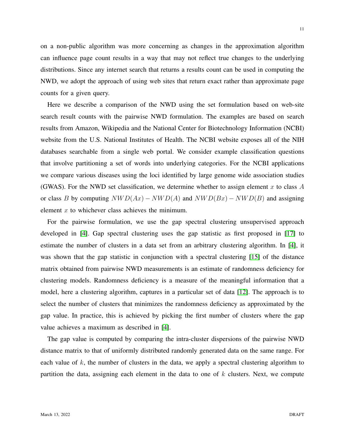on a non-public algorithm was more concerning as changes in the approximation algorithm can influence page count results in a way that may not reflect true changes to the underlying distributions. Since any internet search that returns a results count can be used in computing the NWD, we adopt the approach of using web sites that return exact rather than approximate page counts for a given query.

Here we describe a comparison of the NWD using the set formulation based on web-site search result counts with the pairwise NWD formulation. The examples are based on search results from Amazon, Wikipedia and the National Center for Biotechnology Information (NCBI) website from the U.S. National Institutes of Health. The NCBI website exposes all of the NIH databases searchable from a single web portal. We consider example classification questions that involve partitioning a set of words into underlying categories. For the NCBI applications we compare various diseases using the loci identified by large genome wide association studies (GWAS). For the NWD set classification, we determine whether to assign element  $x$  to class  $A$ or class B by computing  $NWD(Ax) - NWD(A)$  and  $NWD(Bx) - NWD(B)$  and assigning element  $x$  to whichever class achieves the minimum.

For the pairwise formulation, we use the gap spectral clustering unsupervised approach developed in [\[4\]](#page-22-4). Gap spectral clustering uses the gap statistic as first proposed in [\[17\]](#page-23-8) to estimate the number of clusters in a data set from an arbitrary clustering algorithm. In [\[4\]](#page-22-4), it was shown that the gap statistic in conjunction with a spectral clustering [\[15\]](#page-23-9) of the distance matrix obtained from pairwise NWD measurements is an estimate of randomness deficiency for clustering models. Randomness deficiency is a measure of the meaningful information that a model, here a clustering algorithm, captures in a particular set of data [\[12\]](#page-23-10). The approach is to select the number of clusters that minimizes the randomness deficiency as approximated by the gap value. In practice, this is achieved by picking the first number of clusters where the gap value achieves a maximum as described in [\[4\]](#page-22-4).

The gap value is computed by comparing the intra-cluster dispersions of the pairwise NWD distance matrix to that of uniformly distributed randomly generated data on the same range. For each value of  $k$ , the number of clusters in the data, we apply a spectral clustering algorithm to partition the data, assigning each element in the data to one of  $k$  clusters. Next, we compute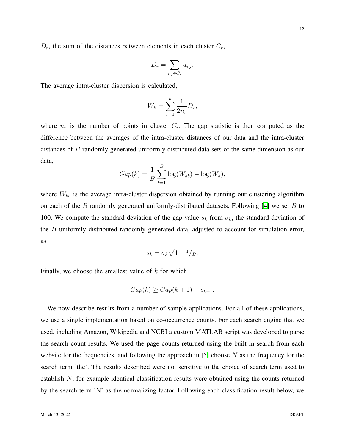$D_r$ , the sum of the distances between elements in each cluster  $C_r$ ,

$$
D_r = \sum_{i,j \in C_r} d_{i,j}.
$$

The average intra-cluster dispersion is calculated,

$$
W_k = \sum_{r=1}^k \frac{1}{2n_r} D_r,
$$

where  $n_r$  is the number of points in cluster  $C_r$ . The gap statistic is then computed as the difference between the averages of the intra-cluster distances of our data and the intra-cluster distances of B randomly generated uniformly distributed data sets of the same dimension as our data,  $\overline{p}$ 

$$
Gap(k) = \frac{1}{B} \sum_{b=1}^{B} \log(W_{kb}) - \log(W_k),
$$

where  $W_{kb}$  is the average intra-cluster dispersion obtained by running our clustering algorithm on each of the  $B$  randomly generated uniformly-distributed datasets. Following [\[4\]](#page-22-4) we set  $B$  to 100. We compute the standard deviation of the gap value  $s_k$  from  $\sigma_k$ , the standard deviation of the B uniformly distributed randomly generated data, adjusted to account for simulation error, as

$$
s_k = \sigma_k \sqrt{1 + \frac{1}{B}}.
$$

Finally, we choose the smallest value of  $k$  for which

$$
Gap(k) \geq Gap(k+1)-s_{k+1}.
$$

We now describe results from a number of sample applications. For all of these applications, we use a single implementation based on co-occurrence counts. For each search engine that we used, including Amazon, Wikipedia and NCBI a custom MATLAB script was developed to parse the search count results. We used the page counts returned using the built in search from each website for the frequencies, and following the approach in [\[5\]](#page-22-1) choose  $N$  as the frequency for the search term 'the'. The results described were not sensitive to the choice of search term used to establish N, for example identical classification results were obtained using the counts returned by the search term 'N' as the normalizing factor. Following each classification result below, we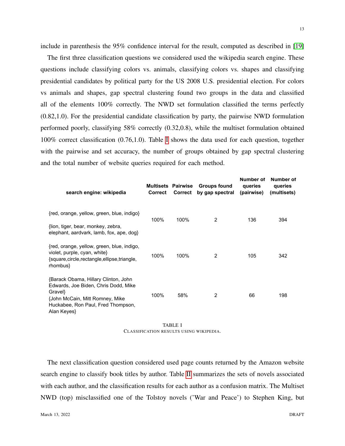include in parenthesis the 95% confidence interval for the result, computed as described in [\[19\]](#page-23-11)

The first three classification questions we considered used the wikipedia search engine. These questions include classifying colors vs. animals, classifying colors vs. shapes and classifying presidential candidates by political party for the US 2008 U.S. presidential election. For colors vs animals and shapes, gap spectral clustering found two groups in the data and classified all of the elements 100% correctly. The NWD set formulation classified the terms perfectly (0.82,1.0). For the presidential candidate classification by party, the pairwise NWD formulation performed poorly, classifying 58% correctly (0.32,0.8), while the multiset formulation obtained 100% correct classification (0.76,1.0). Table [I](#page-12-0) shows the data used for each question, together with the pairwise and set accuracy, the number of groups obtained by gap spectral clustering and the total number of website queries required for each method.

| search engine: wikipedia                                                                                                                                                        | <b>Correct</b> | <b>Multisets Pairwise</b><br><b>Correct</b> | <b>Groups found</b><br>by gap spectral | Number of<br>queries<br>(pairwise) | <b>Number of</b><br>queries<br>(multisets) |
|---------------------------------------------------------------------------------------------------------------------------------------------------------------------------------|----------------|---------------------------------------------|----------------------------------------|------------------------------------|--------------------------------------------|
| {red, orange, yellow, green, blue, indigo}<br>flion, tiger, bear, monkey, zebra,<br>elephant, aardvark, lamb, fox, ape, dog}                                                    | 100%           | 100%                                        | 2                                      | 136                                | 394                                        |
| {red, orange, yellow, green, blue, indigo,<br>violet, purple, cyan, white}<br>{square, circle, rectangle, ellipse, triangle,<br>rhombus}                                        | 100%           | 100%                                        | 2                                      | 105                                | 342                                        |
| {Barack Obama, Hillary Clinton, John<br>Edwards, Joe Biden, Chris Dodd, Mike<br>Gravel}<br>{John McCain, Mitt Romney, Mike<br>Huckabee, Ron Paul, Fred Thompson,<br>Alan Keyes} | 100%           | 58%                                         | 2                                      | 66                                 | 198                                        |

TABLE I CLASSIFICATION RESULTS USING WIKIPEDIA.

<span id="page-12-0"></span>The next classification question considered used page counts returned by the Amazon website search engine to classify book titles by author. Table [II](#page-13-0) summarizes the sets of novels associated with each author, and the classification results for each author as a confusion matrix. The Multiset NWD (top) misclassified one of the Tolstoy novels ('War and Peace') to Stephen King, but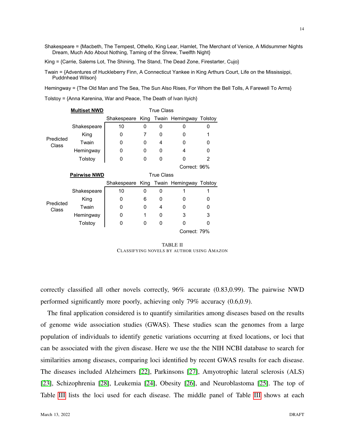Shakespeare = {Macbeth, The Tempest, Othello, King Lear, Hamlet, The Merchant of Venice, A Midsummer Nights Dream, Much Ado About Nothing, Taming of the Shrew, Twelfth Night}

King = {Carrie, Salems Lot, The Shining, The Stand, The Dead Zone, Firestarter, Cujo}

Twain = {Adventures of Huckleberry Finn, A Connecticut Yankee in King Arthurs Court, Life on the Mississippi, Puddnhead Wilson}

Hemingway = {The Old Man and The Sea, The Sun Also Rises, For Whom the Bell Tolls, A Farewell To Arms}

Tolstoy = {Anna Karenina, War and Peace, The Death of Ivan Ilyich}

|                    | <b>Multiset NWD</b> | <b>True Class</b>                        |              |   |                              |   |  |
|--------------------|---------------------|------------------------------------------|--------------|---|------------------------------|---|--|
|                    |                     | Shakespeare King Twain Hemingway Tolstoy |              |   |                              |   |  |
| Predicted<br>Class | Shakespeare         | 10                                       | 0            | 0 | O                            | O |  |
|                    | King                | 0                                        | 7            | 0 | O                            |   |  |
|                    | Twain               | O                                        | <sup>0</sup> | 4 | n                            | O |  |
|                    | Hemingway           | 0                                        | 0            | O | 4                            | O |  |
|                    | Tolstoy             | 0                                        | 0            | O | n                            | 2 |  |
|                    |                     | Correct: 96%                             |              |   |                              |   |  |
|                    | <b>Pairwise NWD</b> | <b>True Class</b>                        |              |   |                              |   |  |
|                    |                     | Shakespeare                              |              |   | King Twain Hemingway Tolstoy |   |  |
|                    | Shakespeare         | 10                                       | 0            | O |                              |   |  |
| Predicted<br>Class | King                | O                                        | 6            | O | n                            | 0 |  |
|                    | Twain               | O                                        | 0            | 4 | n                            | 0 |  |
|                    | Hemingway           | O                                        |              | O | 3                            | 3 |  |
|                    | Tolstoy             | O                                        | 0            | O | n                            | ŋ |  |
|                    |                     | Correct: 79%                             |              |   |                              |   |  |

TABLE II CLASSIFYING NOVELS BY AUTHOR USING AMAZON

<span id="page-13-0"></span>correctly classified all other novels correctly, 96% accurate (0.83,0.99). The pairwise NWD performed significantly more poorly, achieving only 79% accuracy (0.6,0.9).

The final application considered is to quantify similarities among diseases based on the results of genome wide association studies (GWAS). These studies scan the genomes from a large population of individuals to identify genetic variations occurring at fixed locations, or loci that can be associated with the given disease. Here we use the the NIH NCBI database to search for similarities among diseases, comparing loci identified by recent GWAS results for each disease. The diseases included Alzheimers [\[22\]](#page-23-12), Parkinsons [\[27\]](#page-23-13), Amyotrophic lateral sclerosis (ALS) [\[23\]](#page-23-14), Schizophrenia [\[28\]](#page-23-15), Leukemia [\[24\]](#page-23-16), Obesity [\[26\]](#page-23-17), and Neuroblastoma [\[25\]](#page-23-18). The top of Table [III](#page-15-0) lists the loci used for each disease. The middle panel of Table [III](#page-15-0) shows at each

14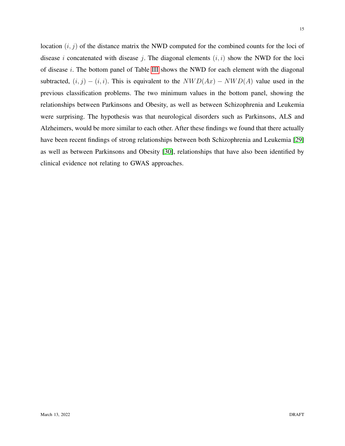location  $(i, j)$  of the distance matrix the NWD computed for the combined counts for the loci of disease i concatenated with disease j. The diagonal elements  $(i, i)$  show the NWD for the loci of disease i. The bottom panel of Table [III](#page-15-0) shows the NWD for each element with the diagonal subtracted,  $(i, j) - (i, i)$ . This is equivalent to the  $NWD(Ax) - NWD(A)$  value used in the previous classification problems. The two minimum values in the bottom panel, showing the relationships between Parkinsons and Obesity, as well as between Schizophrenia and Leukemia were surprising. The hypothesis was that neurological disorders such as Parkinsons, ALS and Alzheimers, would be more similar to each other. After these findings we found that there actually have been recent findings of strong relationships between both Schizophrenia and Leukemia [\[29\]](#page-24-0) as well as between Parkinsons and Obesity [\[30\]](#page-24-1), relationships that have also been identified by clinical evidence not relating to GWAS approaches.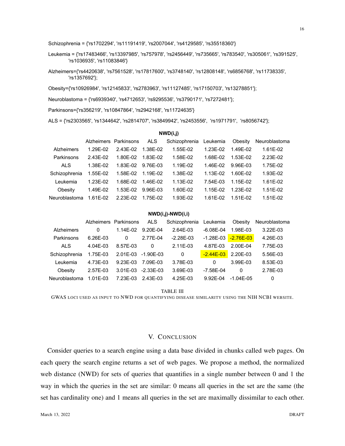Schizophrenia = {'rs1702294', 'rs11191419', 'rs2007044', 'rs4129585', 'rs35518360'}

Leukemia = {'rs17483466', 'rs13397985', 'rs757978', 'rs2456449', 'rs735665', 'rs783540', 'rs305061', 'rs391525', 'rs1036935', 'rs11083846'}

Alzheimers={'rs4420638', 'rs7561528', 'rs17817600', 'rs3748140', 'rs12808148', 'rs6856768', 'rs11738335', 'rs1357692'};

Obesity={'rs10926984', 'rs12145833', 'rs2783963', 'rs11127485', 'rs17150703', 'rs13278851'};

Neuroblastoma = {'rs6939340', 'rs4712653', 'rs9295536', 'rs3790171', 'rs7272481'};

Parkinsons={'rs356219', 'rs10847864', 'rs2942168', 'rs11724635'}

ALS = {'rs2303565', 'rs1344642', 'rs2814707', 'rs3849942', 'rs2453556', 'rs1971791', 'rs8056742'};

|                   |            | Alzheimers Parkinsons ALS |          | Schizophrenia Leukemia |              | Obesity  | Neuroblastoma |
|-------------------|------------|---------------------------|----------|------------------------|--------------|----------|---------------|
| <b>Alzheimers</b> | 1.29E-02   | 2.43E-02 1.38E-02         |          | 1.55E-02               | $1.23F-02$   | 1.49F-02 | $1.61E-02$    |
| Parkinsons        | 2.43E-02   | 1.80E-02  1.83E-02        |          | 1.58E-02               | 1.68E-02     | 1.53F-02 | 2.23E-02      |
| ALS.              | 1.38E-02   | 1.83E-02 9.76E-03         |          | 1.19E-02               | 1.46F-02     | 9.96F-03 | 1.75E-02      |
| Schizophrenia     | 1.55E-02   | 1.58E-02                  | 1.19E-02 | 1.38E-02               | $1.13F - 02$ | 1.60F-02 | 1.93F-02      |
| Leukemia          | $1.23F-02$ | 1.68E-02  1.46E-02        |          | 1.13E-02               | $7.54F-03$   | 1.15F-02 | 1.61E-02      |
| Obesity           | 1.49E-02   | 1.53E-02 9.96E-03         |          | 1.60E-02               | 1.15E-02     | 1.23F-02 | 1.51E-02      |
| Neuroblastoma     | 1.61E-02   | 2.23E-02                  | 1.75E-02 | 1.93E-02               | 1.61F-02     | 1.51F-02 | $1.51F - 02$  |

#### **NWD(i,j)**

## **NWD(i,j)-NWD(i,i)**

|                   |          | Alzheimers Parkinsons | <b>ALS</b> | Schizophrenia Leukemia |               | Obesity       | Neuroblastoma |
|-------------------|----------|-----------------------|------------|------------------------|---------------|---------------|---------------|
| <b>Alzheimers</b> | 0        | 1.14E-02              | 9.20E-04   | 2.64E-03               | $-6.08E - 04$ | 1.98E-03      | 3.22E-03      |
| Parkinsons        | 6.26E-03 | 0                     | 2.77E-04   | $-2.28E - 03$          | $-1.28E - 03$ | $-2.76E-03$   | 4.26E-03      |
| <b>ALS</b>        | 4.04E-03 | 8.57E-03              | 0          | 2.11E-03               | 4.87E-03      | 2.00E-04      | 7.75E-03      |
| Schizophrenia     | 1.75E-03 | 2.01E-03 -1.90E-03    |            | 0                      | $-2.44E-03$   | 2.20E-03      | 5.56E-03      |
| Leukemia          | 4.73E-03 | $9.23E-03$            | 7.09E-03   | 3.78E-03               | 0             | $3.99F - 03$  | 8.53E-03      |
| Obesity           | 2.57E-03 | $3.01E-03 -2.33E-03$  |            | 3.69E-03               | $-7.58E - 04$ | $\Omega$      | 2.78E-03      |
| Neuroblastoma     | 1.01E-03 | 7.23E-03              | 2.43E-03   | 4.25E-03               | 9.92E-04      | $-1.04E - 05$ | 0             |

TABLE III

<span id="page-15-0"></span>GWAS LOCI USED AS INPUT TO NWD FOR QUANTIFYING DISEASE SIMILARITY USING THE NIH NCBI WEBSITE.

# V. CONCLUSION

Consider queries to a search engine using a data base divided in chunks called web pages. On each query the search engine returns a set of web pages. We propose a method, the normalized web distance (NWD) for sets of queries that quantifies in a single number between 0 and 1 the way in which the queries in the set are similar: 0 means all queries in the set are the same (the set has cardinality one) and 1 means all queries in the set are maximally dissimilar to each other.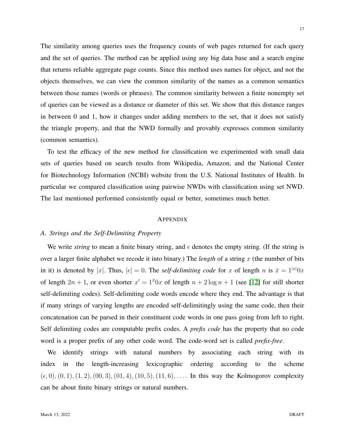The similarity among queries uses the frequency counts of web pages returned for each query and the set of queries. The method can be applied using any big data base and a search engine that returns reliable aggregate page counts. Since this method uses names for object, and not the objects themselves, we can view the common similarity of the names as a common semantics between those names (words or phrases). The common similarity between a finite nonempty set of queries can be viewed as a distance or diameter of this set. We show that this distance ranges in between 0 and 1, how it changes under adding members to the set, that it does not satisfy the triangle property, and that the NWD formally and provably expresses common similarity (common semantics).

To test the efficacy of the new method for classification we experimented with small data sets of queries based on search results from Wikipedia, Amazon, and the National Center for Biotechnology Information (NCBI) website from the U.S. National Institutes of Health. In particular we compared classification using pairwise NWDs with classification using set NWD. The last mentioned performed consistently equal or better, sometimes much better.

### APPENDIX

# <span id="page-16-0"></span>*A. Strings and the Self-Delimiting Property*

We write *string* to mean a finite binary string, and  $\epsilon$  denotes the empty string. (If the string is over a larger finite alphabet we recode it into binary.) The *length* of a string x (the number of bits in it) is denoted by |x|. Thus,  $|\epsilon| = 0$ . The *self-delimiting code* for x of length n is  $\bar{x} = 1^{|x|}0x$ of length  $2n + 1$ , or even shorter  $x' = 1^{\bar{x}}0x$  of length  $n + 2 \log n + 1$  (see [\[12\]](#page-23-10) for still shorter self-delimiting codes). Self-delimiting code words encode where they end. The advantage is that if many strings of varying lengths are encoded self-delimitingly using the same code, then their concatenation can be parsed in their constituent code words in one pass going from left to right. Self delimiting codes are computable prefix codes. A *prefix code* has the property that no code word is a proper prefix of any other code word. The code-word set is called *prefix-free*.

We identify strings with natural numbers by associating each string with its index in the length-increasing lexicographic ordering according to the scheme  $(\epsilon, 0), (0, 1), (1, 2), (00, 3), (01, 4), (10, 5), (11, 6), \ldots$  In this way the Kolmogorov complexity can be about finite binary strings or natural numbers.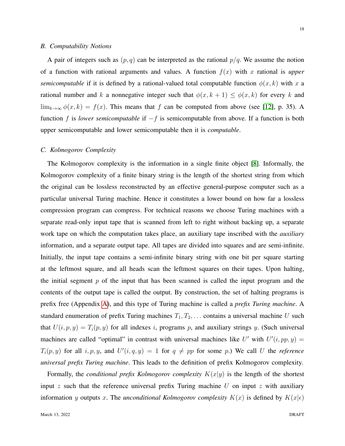### <span id="page-17-0"></span>*B. Computability Notions*

18

A pair of integers such as  $(p, q)$  can be interpreted as the rational  $p/q$ . We assume the notion of a function with rational arguments and values. A function  $f(x)$  with x rational is *upper semicomputable* if it is defined by a rational-valued total computable function  $\phi(x, k)$  with x a rational number and k a nonnegative integer such that  $\phi(x, k + 1) \leq \phi(x, k)$  for every k and  $\lim_{k\to\infty}\phi(x,k) = f(x)$ . This means that f can be computed from above (see [\[12\]](#page-23-10), p. 35). A function f is *lower semicomputable* if −f is semicomputable from above. If a function is both upper semicomputable and lower semicomputable then it is *computable*.

## <span id="page-17-1"></span>*C. Kolmogorov Complexity*

The Kolmogorov complexity is the information in a single finite object [\[8\]](#page-23-0). Informally, the Kolmogorov complexity of a finite binary string is the length of the shortest string from which the original can be lossless reconstructed by an effective general-purpose computer such as a particular universal Turing machine. Hence it constitutes a lower bound on how far a lossless compression program can compress. For technical reasons we choose Turing machines with a separate read-only input tape that is scanned from left to right without backing up, a separate work tape on which the computation takes place, an auxiliary tape inscribed with the *auxiliary* information, and a separate output tape. All tapes are divided into squares and are semi-infinite. Initially, the input tape contains a semi-infinite binary string with one bit per square starting at the leftmost square, and all heads scan the leftmost squares on their tapes. Upon halting, the initial segment  $p$  of the input that has been scanned is called the input program and the contents of the output tape is called the output. By construction, the set of halting programs is prefix free (Appendix [A\)](#page-16-0), and this type of Turing machine is called a *prefix Turing machine*. A standard enumeration of prefix Turing machines  $T_1, T_2, \ldots$  contains a universal machine U such that  $U(i, p, y) = T_i(p, y)$  for all indexes i, programs p, and auxiliary strings y. (Such universal machines are called "optimal" in contrast with universal machines like U' with  $U'(i, pp, y) =$  $T_i(p, y)$  for all  $i, p, y$ , and  $U'(i, q, y) = 1$  for  $q \neq pp$  for some p.) We call U the *reference universal prefix Turing machine*. This leads to the definition of prefix Kolmogorov complexity.

Formally, the *conditional prefix Kolmogorov complexity*  $K(x|y)$  is the length of the shortest input z such that the reference universal prefix Turing machine  $U$  on input z with auxiliary information y outputs x. The *unconditional Kolmogorov complexity*  $K(x)$  is defined by  $K(x|\epsilon)$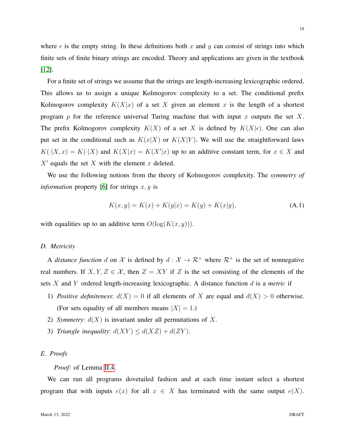where  $\epsilon$  is the empty string. In these definitions both x and y can consist of strings into which finite sets of finite binary strings are encoded. Theory and applications are given in the textbook [\[12\]](#page-23-10).

For a finite set of strings we assume that the strings are length-increasing lexicographic ordered. This allows us to assign a unique Kolmogorov complexity to a set. The conditional prefix Kolmogorov complexity  $K(X|x)$  of a set X given an element x is the length of a shortest program p for the reference universal Turing machine that with input x outputs the set X. The prefix Kolmogorov complexity  $K(X)$  of a set X is defined by  $K(X|\epsilon)$ . One can also put set in the conditional such as  $K(x|X)$  or  $K(X|Y)$ . We will use the straightforward laws  $K(\cdot|X, x) = K(\cdot|X)$  and  $K(X|x) = K(X'|x)$  up to an additive constant term, for  $x \in X$  and  $X'$  equals the set X with the element x deleted.

We use the following notions from the theory of Kolmogorov complexity. The *symmetry of information* property [\[6\]](#page-22-5) for strings  $x, y$  is

<span id="page-18-2"></span>
$$
K(x, y) = K(x) + K(y|x) = K(y) + K(x|y),
$$
\n(A.1)

with equalities up to an additive term  $O(\log(K(x, y)))$ .

## <span id="page-18-0"></span>*D. Metricity*

A *distance function* d on X is defined by  $d : X \to \mathbb{R}^+$  where  $\mathbb{R}^+$  is the set of nonnegative real numbers. If  $X, Y, Z \in \mathcal{X}$ , then  $Z = XY$  if Z is the set consisting of the elements of the sets X and Y ordered length-increasing lexicographic. A distance function d is a *metric* if

- 1) *Positive definiteness:*  $d(X) = 0$  if all elements of X are equal and  $d(X) > 0$  otherwise. (For sets equality of all members means  $|X| = 1$ .)
- 2) *Symmetry:*  $d(X)$  is invariant under all permutations of X.
- 3) *Triangle inequality:*  $d(XY) \leq d(XZ) + d(ZY)$ .

## <span id="page-18-1"></span>*E. Proofs*

### *Proof:* of Lemma [II.4.](#page-4-1)

We can run all programs dovetailed fashion and at each time instant select a shortest program that with inputs  $e(x)$  for all  $x \in X$  has terminated with the same output  $e(X)$ .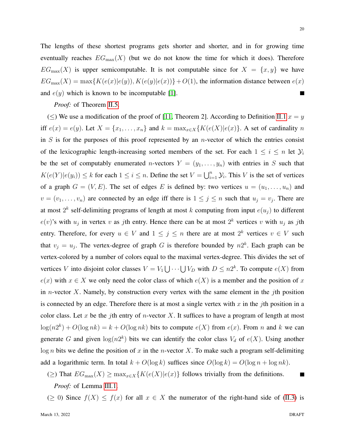The lengths of these shortest programs gets shorter and shorter, and in for growing time eventually reaches  $EG_{\text{max}}(X)$  (but we do not know the time for which it does). Therefore  $EG_{\text{max}}(X)$  is upper semicomputable. It is not computable since for  $X = \{x, y\}$  we have  $EG_{\text{max}}(X) = \max\{K(e(x)|e(y)), K(e(y)|e(x))\} + O(1)$ , the information distance between  $e(x)$ and  $e(y)$  which is known to be incomputable [\[1\]](#page-22-0).  $\blacksquare$ 

## *Proof:* of Theorem [II.5.](#page-4-0)

( $\leq$ ) We use a modification of the proof of [\[11,](#page-23-4) Theorem 2]. According to Definition [II.1](#page-3-1)  $x = y$ iff  $e(x) = e(y)$ . Let  $X = \{x_1, \ldots, x_n\}$  and  $k = \max_{x \in X} \{K(e(X)|e(x))\}$ . A set of cardinality n in S is for the purposes of this proof represented by an *n*-vector of which the entries consist of the lexicographic length-increasing sorted members of the set. For each  $1 \leq i \leq n$  let  $\mathcal{Y}_i$ be the set of computably enumerated n-vectors  $Y = (y_1, \ldots, y_n)$  with entries in S such that  $K(e(Y)|e(y_i)) \leq k$  for each  $1 \leq i \leq n$ . Define the set  $V = \bigcup_{i=1}^n \mathcal{Y}_i$ . This V is the set of vertices of a graph  $G = (V, E)$ . The set of edges E is defined by: two vertices  $u = (u_1, \ldots, u_n)$  and  $v = (v_1, \dots, v_n)$  are connected by an edge iff there is  $1 \leq j \leq n$  such that  $u_j = v_j$ . There are at most  $2^k$  self-delimiting programs of length at most k computing from input  $e(u_j)$  to different  $e(v)$ 's with  $u_j$  in vertex v as jth entry. Hence there can be at most  $2^k$  vertices v with  $u_j$  as jth entry. Therefore, for every  $u \in V$  and  $1 \leq j \leq n$  there are at most  $2^k$  vertices  $v \in V$  such that  $v_j = u_j$ . The vertex-degree of graph G is therefore bounded by  $n2^k$ . Each graph can be vertex-colored by a number of colors equal to the maximal vertex-degree. This divides the set of vertices V into disjoint color classes  $V = V_1 \bigcup \cdots \bigcup V_D$  with  $D \leq n2^k$ . To compute  $e(X)$  from  $e(x)$  with  $x \in X$  we only need the color class of which  $e(X)$  is a member and the position of x in *n*-vector X. Namely, by construction every vertex with the same element in the *j*th position is connected by an edge. Therefore there is at most a single vertex with  $x$  in the jth position in a color class. Let x be the jth entry of n-vector X. It suffices to have a program of length at most  $log(n2^k) + O(log nk) = k + O(log nk)$  bits to compute  $e(X)$  from  $e(x)$ . From n and k we can generate G and given  $log(n2^k)$  bits we can identify the color class  $V_d$  of  $e(X)$ . Using another  $\log n$  bits we define the position of x in the n-vector X. To make such a program self-delimiting add a logarithmic term. In total  $k + O(\log k)$  suffices since  $O(\log k) = O(\log n + \log nk)$ .

(≥) That  $EG_{\text{max}}(X) \ge \max_{x \in X} \{ K(e(X)|e(x)) \}$  follows trivially from the definitions.  $\blacksquare$ *Proof:* of Lemma [III.1.](#page-6-1)

( $\geq$  0) Since  $f(X) \leq f(x)$  for all  $x \in X$  the numerator of the right-hand side of [\(II.3\)](#page-5-0) is

20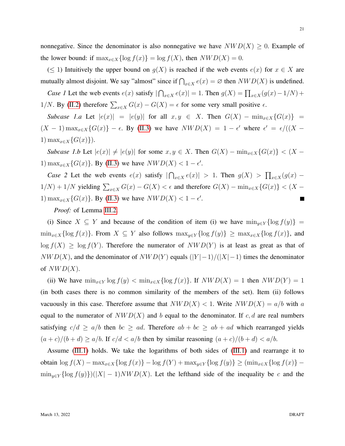nonnegative. Since the denominator is also nonnegative we have  $NWD(X) \geq 0$ . Example of the lower bound: if  $\max_{x \in X} {\log f(x)} = \log f(X)$ , then  $NWD(X) = 0$ .

(≤ 1) Intuitively the upper bound on  $g(X)$  is reached if the web events  $e(x)$  for  $x \in X$  are mutually almost disjoint. We say "almost" since if  $\bigcap_{x \in X} e(x) = \emptyset$  then  $NWD(X)$  is undefined. *Case 1* Let the web events  $e(x)$  satisfy  $|\bigcap_{x \in X} e(x)| = 1$ . Then  $g(X) = \prod_{x \in X} (g(x) - 1/N) +$ 1/N. By [\(II.2\)](#page-4-2) therefore  $\sum_{x \in X} G(x) - G(X) = \epsilon$  for some very small positive  $\epsilon$ .

*Subcase 1.a* Let  $|e(x)| = |e(y)|$  for all  $x, y \in X$ . Then  $G(X) - \min_{x \in X} {G(x)} =$  $(X - 1)$  max<sub>x∈X</sub>{ $G(x)$ } –  $\epsilon$ . By [\(II.3\)](#page-5-0) we have  $NWD(X) = 1 - \epsilon'$  where  $\epsilon' = \epsilon/((X -$ 1)  $\max_{x \in X} \{G(x)\}\.$ 

*Subcase 1.b* Let  $|e(x)| \neq |e(y)|$  for some  $x, y \in X$ . Then  $G(X) - \min_{x \in X} \{G(x)\}$  <  $(X -$ 1) max<sub>x∈X</sub>{ $G(x)$ }. By [\(II.3\)](#page-5-0) we have  $NWD(X) < 1 - \epsilon'$ .

*Case 2* Let the web events  $e(x)$  satisfy  $|\bigcap_{x\in X}e(x)| > 1$ . Then  $g(X) > \prod_{x\in X}(g(x) 1/N$ ) +  $1/N$  yielding  $\sum_{x \in X} G(x) - G(X) < \epsilon$  and therefore  $G(X) - \min_{x \in X} \{G(x)\} < (X - \epsilon)$ 1)  $\max_{x \in X} \{G(x)\}\$ . By [\(II.3\)](#page-5-0) we have  $NWD(X) < 1 - \epsilon'$ .  $\blacksquare$ 

*Proof:* of Lemma [III.2.](#page-7-0)

(i) Since  $X \subseteq Y$  and because of the condition of item (i) we have  $\min_{y \in Y} {\log f(y)} =$  $\min_{x \in X} {\log f(x)}$ . From  $X \subseteq Y$  also follows  $\max_{y \in Y} {\log f(y)} \ge \max_{x \in X} {\log f(x)}$ , and  $\log f(X) \ge \log f(Y)$ . Therefore the numerator of  $NWD(Y)$  is at least as great as that of  $NWD(X)$ , and the denominator of  $NWD(Y)$  equals  $(|Y| - 1)/(|X| - 1)$  times the denominator of  $NWD(X)$ .

(ii) We have  $\min_{x \in Y} \log f(y) < \min_{x \in X} {\log f(x)}$ . If  $NWD(X) = 1$  then  $NWD(Y) = 1$ (in both cases there is no common similarity of the members of the set). Item (ii) follows vacuously in this case. Therefore assume that  $NWD(X) < 1$ . Write  $NWD(X) = a/b$  with a equal to the numerator of  $NWD(X)$  and b equal to the denominator. If c, d are real numbers satisfying  $c/d \ge a/b$  then  $bc \ge ad$ . Therefore  $ab + bc \ge ab + ad$  which rearranged yields  $(a + c)/(b + d) \ge a/b$ . If  $c/d < a/b$  then by similar reasoning  $(a + c)/(b + d) < a/b$ .

Assume [\(III.1\)](#page-6-2) holds. We take the logarithms of both sides of [\(III.1\)](#page-6-2) and rearrange it to obtain  $\log f(X) - \max_{x \in X} {\log f(x)} - \log f(Y) + \max_{y \in Y} {\log f(y)} \ge (\min_{x \in X} {\log f(x)} \min_{y \in Y} {\log f(y)}(|X| - 1)NWD(X)$ . Let the lefthand side of the inequality be c and the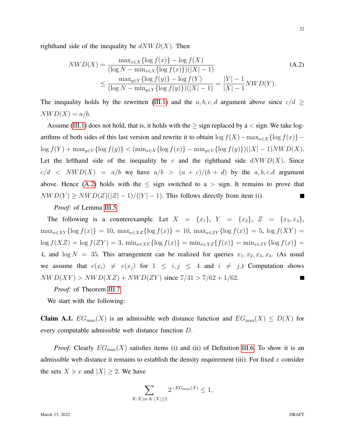righthand side of the inequality be  $dNWD(X)$ . Then

<span id="page-21-0"></span>
$$
NWD(X) = \frac{\max_{x \in X} \{ \log f(x) \} - \log f(X)}{(\log N - \min_{x \in X} \{ \log f(x) \}) (|X| - 1)}
$$
\n
$$
\leq \frac{\max_{y \in Y} \{ \log f(y) \} - \log f(Y)}{(\log N - \min_{y \in Y} \{ \log f(y) \}) (|X| - 1)} = \frac{|Y| - 1}{|X| - 1} NWD(Y).
$$
\n(A.2)

The inequality holds by the rewritten [\(III.1\)](#page-6-2) and the a, b, c, d argument above since  $c/d \ge$  $NWD(X) = a/b.$ 

Assume [\(III.1\)](#page-6-2) does not hold, that is, it holds with the  $\geq$  sign replaced by a  $\lt$  sign. We take logarithms of both sides of this last version and rewrite it to obtain  $\log f(X)-\max_{x\in X}{\log f(x)}$ log f(Y) + max<sub>y∈Y</sub> {log f(y)} < (min<sub>x∈X</sub> {log f(x)} − min<sub>y∈Y</sub> {log f(y)})(|X| − 1) NW D(X). Let the lefthand side of the inequality be c and the righthand side  $dNWD(X)$ . Since  $c/d < NWD(X) = a/b$  we have  $a/b > (a + c)/(b + d)$  by the a, b, c.d argument above. Hence [\(A.2\)](#page-21-0) holds with the  $\leq$  sign switched to a  $>$  sign. It remains to prove that  $NWD(Y) \geq NWD(Z)(|Z|-1)/(|Y|-1)$ . This follows directly from item (i). Г

*Proof:* of Lemma [III.5.](#page-8-0)

The following is a counterexample. Let  $X = \{x_1\}$ ,  $Y = \{x_2\}$ ,  $Z = \{x_3, x_4\}$ ,  $\max_{x \in XY} {\log f(x)} = 10, \, \max_{x \in XZ} {\log f(x)} = 10, \, \max_{x \in ZY} {\log f(x)} = 5, \, \log f(XY) = 10$  $\log f(XZ) = \log f(ZY) = 3$ ,  $\min_{x \in XY} {\log f(x)} = \min_{x \in XZ} {f(x)} = \min_{x \in ZY} {\log f(x)} =$ 4, and  $\log N = 35$ . This arrangement can be realized for queries  $x_1, x_2, x_3, x_4$ . (As usual we assume that  $e(x_i) \neq e(x_j)$  for  $1 \leq i, j \leq 4$  and  $i \neq j$ .) Computation shows  $NWD(XY) > NWD(XZ) + NWD(ZY)$  since  $7/31 > 7/62 + 1/62$ .  $\blacksquare$ 

*Proof:* of Theorem [III.7.](#page-9-0)

We start with the following:

<span id="page-21-1"></span>**Claim A.1.**  $EG_{\text{max}}(X)$  is an admissible web distance function and  $EG_{\text{max}}(X) \leq D(X)$  for every computable admissible web distance function D.

*Proof:* Clearly  $EG_{\text{max}}(X)$  satisfies items (i) and (ii) of Definition [III.6.](#page-8-1) To show it is an admissible web distance it remains to establish the density requirement (iii). For fixed x consider the sets  $X \ni x$  and  $|X| \geq 2$ . We have

$$
\sum_{X:X\ni x \& |X|\ge 2} 2^{-EG_{\max}(X)} \le 1,
$$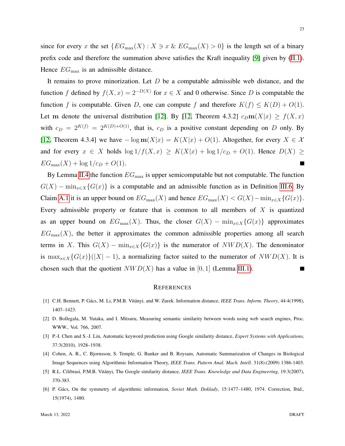since for every x the set  ${EG_{\text{max}}(X) : X \ni x \& EG_{\text{max}}(X) > 0}$  is the length set of a binary prefix code and therefore the summation above satisfies the Kraft inequality [\[9\]](#page-23-6) given by [\(II.1\)](#page-4-3). Hence  $EG_{\text{max}}$  is an admissible distance.

It remains to prove minorization. Let  $D$  be a computable admissible web distance, and the function f defined by  $f(X, x) = 2^{-D(X)}$  for  $x \in X$  and 0 otherwise. Since D is computable the function f is computable. Given D, one can compute f and therefore  $K(f) \leq K(D) + O(1)$ . Let m denote the universal distribution [\[12\]](#page-23-10). By [\[12,](#page-23-10) Theorem 4.3.2]  $c_D m(X|x) \ge f(X,x)$ with  $c_D = 2^{K(f)} = 2^{K(D)+O(1)}$ , that is,  $c_D$  is a positive constant depending on D only. By [\[12,](#page-23-10) Theorem 4.3.4] we have  $-\log m(X|x) = K(X|x) + O(1)$ . Altogether, for every  $X \in \mathcal{X}$ and for every  $x \in X$  holds  $\log 1/f(X, x) \ge K(X|x) + \log 1/c_p + O(1)$ . Hence  $D(X) \ge$  $EG_{\text{max}}(X) + \log 1/c_D + O(1).$ 

By Lemma [II.4](#page-4-1) the function  $EG<sub>max</sub>$  is upper semicomputable but not computable. The function  $G(X) - \min_{x \in X} \{G(x)\}\$ is a computable and an admissible function as in Definition [III.6.](#page-8-1) By Claim [A.1](#page-21-1) it is an upper bound on  $EG_{\text{max}}(X)$  and hence  $EG_{\text{max}}(X) < G(X) - \min_{x \in X} \{G(x)\}.$ Every admissible property or feature that is common to all members of  $X$  is quantized as an upper bound on  $EG_{\text{max}}(X)$ . Thus, the closer  $G(X) - \min_{x \in X} \{G(x)\}\$  approximates  $EG<sub>max</sub>(X)$ , the better it approximates the common admissible properties among all search terms in X. This  $G(X) - \min_{x \in X} \{G(x)\}\$ is the numerator of  $NWD(X)$ . The denominator is  $\max_{x \in X} \{G(x)\} (|X| - 1)$ , a normalizing factor suited to the numerator of  $NWD(X)$ . It is chosen such that the quotient  $NWD(X)$  has a value in [0, 1] (Lemma [III.1\)](#page-6-1). **The Second Service** 

#### **REFERENCES**

- <span id="page-22-0"></span>[1] C.H. Bennett, P. Gács, M. Li, P.M.B. Vitányi, and W. Zurek. Information distance, *IEEE Trans. Inform. Theory*, 44:4(1998), 1407–1423.
- <span id="page-22-2"></span>[2] D. Bollegala, M. Yutaka, and I. Mitsuru, Measuring semantic similarity between words using web search engines, Proc. WWW., Vol. 766, 2007.
- <span id="page-22-3"></span>[3] P.-I. Chen and S.-J. Lin, Automatic keyword prediction using Google similarity distance, *Expert Systems with Applications*, 37:3(2010), 1928–1938.
- <span id="page-22-4"></span>[4] Cohen, A. R., C. Bjornsson, S. Temple, G. Banker and B. Roysam, Automatic Summarization of Changes in Biological Image Sequences using Algorithmic Information Theory, *IEEE Trans. Pattern Anal. Mach. Intell.* 31(8):(2009) 1386-1403.
- <span id="page-22-1"></span>[5] R.L. Cilibrasi, P.M.B. Vitányi, The Google similarity distance, *IEEE Trans. Knowledge and Data Engineering*, 19:3(2007), 370-383.
- <span id="page-22-5"></span>[6] P. Gács, On the symmetry of algorithmic information, *Soviet Math. Doklady*, 15:1477-1480, 1974. Correction, Ibid., 15(1974), 1480.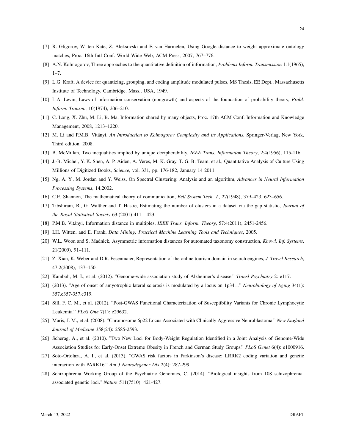- <span id="page-23-1"></span>[7] R. Gligorov, W. ten Kate, Z. Aleksovski and F. van Harmelen, Using Google distance to weight approximate ontology matches, Proc. 16th Intl Conf. World Wide Web, ACM Press, 2007, 767–776.
- <span id="page-23-0"></span>[8] A.N. Kolmogorov, Three approaches to the quantitative definition of information, *Problems Inform. Transmission* 1:1(1965),  $1-7.$
- <span id="page-23-6"></span>[9] L.G. Kraft, A device for quantizing, grouping, and coding amplitude modulated pulses, MS Thesis, EE Dept., Massachusetts Institute of Technology, Cambridge. Mass., USA, 1949.
- [10] L.A. Levin, Laws of information conservation (nongrowth) and aspects of the foundation of probability theory, *Probl. Inform. Transm.*, 10(1974), 206–210.
- <span id="page-23-4"></span>[11] C. Long, X. Zhu, M. Li, B. Ma, Information shared by many objects, Proc. 17th ACM Conf. Information and Knowledge Management, 2008, 1213–1220.
- <span id="page-23-10"></span>[12] M. Li and P.M.B. Vitányi. An Introduction to Kolmogorov Complexity and its Applications, Springer-Verlag, New York, Third edition, 2008.
- <span id="page-23-7"></span>[13] B. McMillan, Two inequalities implied by unique decipherability, *IEEE Trans. Information Theory*, 2:4(1956), 115-116.
- [14] J.-B. Michel, Y. K. Shen, A. P. Aiden, A. Veres, M. K. Gray, T. G. B. Team, et al., Quantitative Analysis of Culture Using Millions of Digitized Books, *Science*, vol. 331, pp. 176-182, January 14 2011.
- <span id="page-23-9"></span>[15] Ng, A. Y., M. Jordan and Y. Weiss, On Spectral Clustering: Analysis and an algorithm, *Advances in Neural Information Processing Systems*, 14,2002.
- [16] C.E. Shannon, The mathematical theory of communication, *Bell System Tech. J.*, 27(1948), 379–423, 623–656.
- <span id="page-23-8"></span>[17] Tibshirani, R., G. Walther and T. Hastie, Estimating the number of clusters in a dataset via the gap statistic, *Journal of the Royal Statistical Society* 63:(2001) 411 - 423.
- <span id="page-23-5"></span>[18] P.M.B. Vitányi, Information distance in multiples, *IEEE Trans. Inform. Theory*, 57:4(2011), 2451-2456.
- <span id="page-23-11"></span>[19] I.H. Witten, and E. Frank, *Data Mining: Practical Machine Learning Tools and Techniques*, 2005.
- <span id="page-23-3"></span>[20] W.L. Woon and S. Madnick, Asymmetric information distances for automated taxonomy construction, *Knowl. Inf. Systems*, 21(2009), 91–111.
- <span id="page-23-2"></span>[21] Z. Xian, K. Weber and D.R. Fesenmaier, Representation of the online tourism domain in search engines, *J. Travel Research*, 47:2(2008), 137–150.
- <span id="page-23-12"></span>[22] Kamboh, M. I., et al. (2012). "Genome-wide association study of Alzheimer's disease." *Transl Psychiatry* 2: e117.
- <span id="page-23-14"></span>[23] (2013). "Age of onset of amyotrophic lateral sclerosis is modulated by a locus on 1p34.1." *Neurobiology of Aging* 34(1): 357.e357-357.e319.
- <span id="page-23-16"></span>[24] Sill, F. C. M., et al. (2012). "Post-GWAS Functional Characterization of Susceptibility Variants for Chronic Lymphocytic Leukemia." *PLoS One* 7(1): e29632.
- <span id="page-23-18"></span>[25] Maris, J. M., et al. (2008). "Chromosome 6p22 Locus Associated with Clinically Aggressive Neuroblastoma." *New England Journal of Medicine* 358(24): 2585-2593.
- <span id="page-23-17"></span>[26] Scherag, A., et al. (2010). "Two New Loci for Body-Weight Regulation Identified in a Joint Analysis of Genome-Wide Association Studies for Early-Onset Extreme Obesity in French and German Study Groups." *PLoS Genet* 6(4): e1000916.
- <span id="page-23-13"></span>[27] Soto-Ortolaza, A. I., et al. (2013). "GWAS risk factors in Parkinson's disease: LRRK2 coding variation and genetic interaction with PARK16." *Am J Neurodegener Dis* 2(4): 287-299.
- <span id="page-23-15"></span>[28] Schizophrenia Working Group of the Psychiatric Genomics, C. (2014). "Biological insights from 108 schizophreniaassociated genetic loci." *Nature* 511(7510): 421-427.